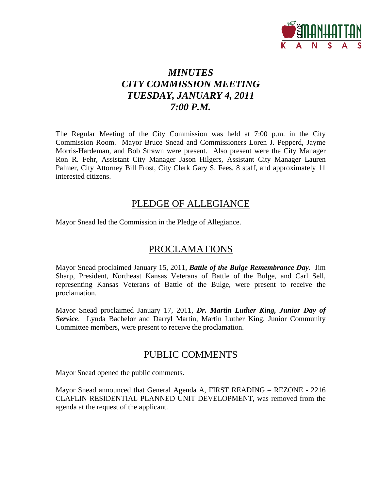

# *MINUTES CITY COMMISSION MEETING TUESDAY, JANUARY 4, 2011 7:00 P.M.*

The Regular Meeting of the City Commission was held at 7:00 p.m. in the City Commission Room. Mayor Bruce Snead and Commissioners Loren J. Pepperd, Jayme Morris-Hardeman, and Bob Strawn were present. Also present were the City Manager Ron R. Fehr, Assistant City Manager Jason Hilgers, Assistant City Manager Lauren Palmer, City Attorney Bill Frost, City Clerk Gary S. Fees, 8 staff, and approximately 11 interested citizens.

## PLEDGE OF ALLEGIANCE

Mayor Snead led the Commission in the Pledge of Allegiance.

## PROCLAMATIONS

Mayor Snead proclaimed January 15, 2011, *Battle of the Bulge Remembrance Day*. Jim Sharp, President, Northeast Kansas Veterans of Battle of the Bulge, and Carl Sell, representing Kansas Veterans of Battle of the Bulge, were present to receive the proclamation.

Mayor Snead proclaimed January 17, 2011, *Dr. Martin Luther King, Junior Day of Service*. Lynda Bachelor and Darryl Martin, Martin Luther King, Junior Community Committee members, were present to receive the proclamation.

## PUBLIC COMMENTS

Mayor Snead opened the public comments.

Mayor Snead announced that General Agenda A, FIRST READING – REZONE - 2216 CLAFLIN RESIDENTIAL PLANNED UNIT DEVELOPMENT, was removed from the agenda at the request of the applicant.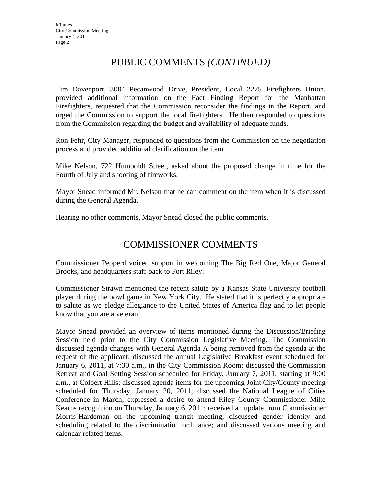## PUBLIC COMMENTS *(CONTINUED)*

Tim Davenport, 3004 Pecanwood Drive, President, Local 2275 Firefighters Union, provided additional information on the Fact Finding Report for the Manhattan Firefighters, requested that the Commission reconsider the findings in the Report, and urged the Commission to support the local firefighters. He then responded to questions from the Commission regarding the budget and availability of adequate funds.

Ron Fehr, City Manager, responded to questions from the Commission on the negotiation process and provided additional clarification on the item.

Mike Nelson, 722 Humboldt Street, asked about the proposed change in time for the Fourth of July and shooting of fireworks.

Mayor Snead informed Mr. Nelson that he can comment on the item when it is discussed during the General Agenda.

Hearing no other comments, Mayor Snead closed the public comments.

## COMMISSIONER COMMENTS

Commissioner Pepperd voiced support in welcoming The Big Red One, Major General Brooks, and headquarters staff back to Fort Riley.

Commissioner Strawn mentioned the recent salute by a Kansas State University football player during the bowl game in New York City. He stated that it is perfectly appropriate to salute as we pledge allegiance to the United States of America flag and to let people know that you are a veteran.

Mayor Snead provided an overview of items mentioned during the Discussion/Briefing Session held prior to the City Commission Legislative Meeting. The Commission discussed agenda changes with General Agenda A being removed from the agenda at the request of the applicant; discussed the annual Legislative Breakfast event scheduled for January 6, 2011, at 7:30 a.m., in the City Commission Room; discussed the Commission Retreat and Goal Setting Session scheduled for Friday, January 7, 2011, starting at 9:00 a.m., at Colbert Hills; discussed agenda items for the upcoming Joint City/County meeting scheduled for Thursday, January 20, 2011; discussed the National League of Cities Conference in March; expressed a desire to attend Riley County Commissioner Mike Kearns recognition on Thursday, January 6, 2011; received an update from Commissioner Morris-Hardeman on the upcoming transit meeting; discussed gender identity and scheduling related to the discrimination ordinance; and discussed various meeting and calendar related items.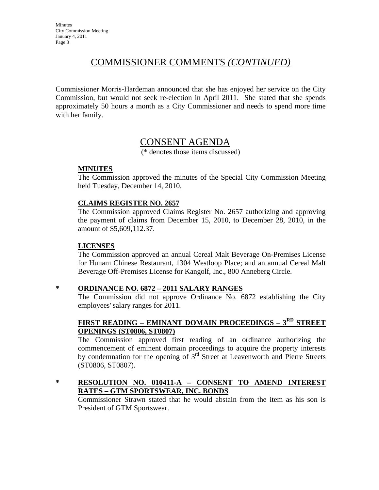## COMMISSIONER COMMENTS *(CONTINUED)*

Commissioner Morris-Hardeman announced that she has enjoyed her service on the City Commission, but would not seek re-election in April 2011. She stated that she spends approximately 50 hours a month as a City Commissioner and needs to spend more time with her family.

## CONSENT AGENDA

(\* denotes those items discussed)

#### **MINUTES**

The Commission approved the minutes of the Special City Commission Meeting held Tuesday, December 14, 2010.

#### **CLAIMS REGISTER NO. 2657**

The Commission approved Claims Register No. 2657 authorizing and approving the payment of claims from December 15, 2010, to December 28, 2010, in the amount of \$5,609,112.37.

#### **LICENSES**

The Commission approved an annual Cereal Malt Beverage On-Premises License for Hunam Chinese Restaurant, 1304 Westloop Place; and an annual Cereal Malt Beverage Off-Premises License for Kangolf, Inc., 800 Anneberg Circle.

#### **\* ORDINANCE NO. 6872 – 2011 SALARY RANGES**

The Commission did not approve Ordinance No. 6872 establishing the City employees' salary ranges for 2011.

### **FIRST READING – EMINANT DOMAIN PROCEEDINGS – 3RD STREET OPENINGS (ST0806, ST0807)**

The Commission approved first reading of an ordinance authorizing the commencement of eminent domain proceedings to acquire the property interests by condemnation for the opening of 3rd Street at Leavenworth and Pierre Streets (ST0806, ST0807).

#### **\* RESOLUTION NO. 010411-A – CONSENT TO AMEND INTEREST RATES – GTM SPORTSWEAR, INC. BONDS**

Commissioner Strawn stated that he would abstain from the item as his son is President of GTM Sportswear.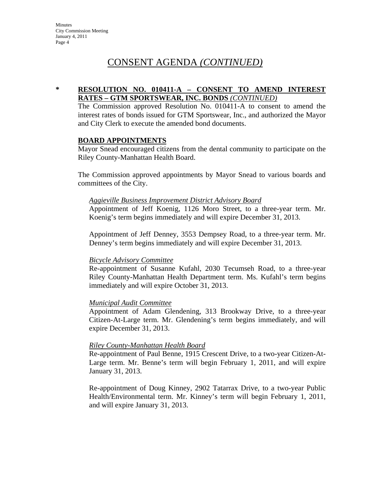## CONSENT AGENDA *(CONTINUED)*

#### **\* RESOLUTION NO. 010411-A – CONSENT TO AMEND INTEREST RATES – GTM SPORTSWEAR, INC. BONDS** *(CONTINUED)*

The Commission approved Resolution No. 010411-A to consent to amend the interest rates of bonds issued for GTM Sportswear, Inc., and authorized the Mayor and City Clerk to execute the amended bond documents.

#### **BOARD APPOINTMENTS**

Mayor Snead encouraged citizens from the dental community to participate on the Riley County-Manhattan Health Board.

The Commission approved appointments by Mayor Snead to various boards and committees of the City.

#### *Aggieville Business Improvement District Advisory Board*

Appointment of Jeff Koenig, 1126 Moro Street, to a three-year term. Mr. Koenig's term begins immediately and will expire December 31, 2013.

Appointment of Jeff Denney, 3553 Dempsey Road, to a three-year term. Mr. Denney's term begins immediately and will expire December 31, 2013.

#### *Bicycle Advisory Committee*

Re-appointment of Susanne Kufahl, 2030 Tecumseh Road, to a three-year Riley County-Manhattan Health Department term. Ms. Kufahl's term begins immediately and will expire October 31, 2013.

#### *Municipal Audit Committee*

Appointment of Adam Glendening, 313 Brookway Drive, to a three-year Citizen-At-Large term. Mr. Glendening's term begins immediately, and will expire December 31, 2013.

#### *Riley County-Manhattan Health Board*

Re-appointment of Paul Benne, 1915 Crescent Drive, to a two-year Citizen-At-Large term. Mr. Benne's term will begin February 1, 2011, and will expire January 31, 2013.

Re-appointment of Doug Kinney, 2902 Tatarrax Drive, to a two-year Public Health/Environmental term. Mr. Kinney's term will begin February 1, 2011, and will expire January 31, 2013.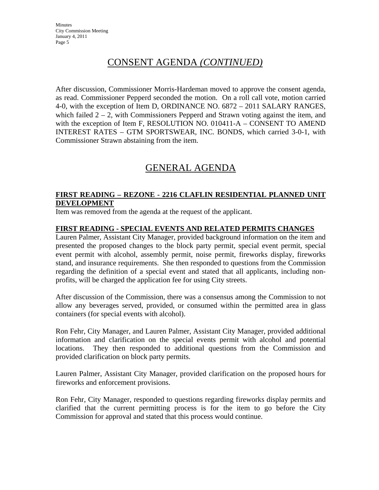# CONSENT AGENDA *(CONTINUED)*

After discussion, Commissioner Morris-Hardeman moved to approve the consent agenda, as read. Commissioner Pepperd seconded the motion. On a roll call vote, motion carried 4-0, with the exception of Item D, ORDINANCE NO. 6872 – 2011 SALARY RANGES, which failed  $2 - 2$ , with Commissioners Pepperd and Strawn voting against the item, and with the exception of Item F, RESOLUTION NO. 010411-A – CONSENT TO AMEND INTEREST RATES – GTM SPORTSWEAR, INC. BONDS, which carried 3-0-1, with Commissioner Strawn abstaining from the item.

# GENERAL AGENDA

### **FIRST READING – REZONE - 2216 CLAFLIN RESIDENTIAL PLANNED UNIT DEVELOPMENT**

Item was removed from the agenda at the request of the applicant.

#### **FIRST READING - SPECIAL EVENTS AND RELATED PERMITS CHANGES**

Lauren Palmer, Assistant City Manager, provided background information on the item and presented the proposed changes to the block party permit, special event permit, special event permit with alcohol, assembly permit, noise permit, fireworks display, fireworks stand, and insurance requirements. She then responded to questions from the Commission regarding the definition of a special event and stated that all applicants, including nonprofits, will be charged the application fee for using City streets.

After discussion of the Commission, there was a consensus among the Commission to not allow any beverages served, provided, or consumed within the permitted area in glass containers (for special events with alcohol).

Ron Fehr, City Manager, and Lauren Palmer, Assistant City Manager, provided additional information and clarification on the special events permit with alcohol and potential locations. They then responded to additional questions from the Commission and provided clarification on block party permits.

Lauren Palmer, Assistant City Manager, provided clarification on the proposed hours for fireworks and enforcement provisions.

Ron Fehr, City Manager, responded to questions regarding fireworks display permits and clarified that the current permitting process is for the item to go before the City Commission for approval and stated that this process would continue.